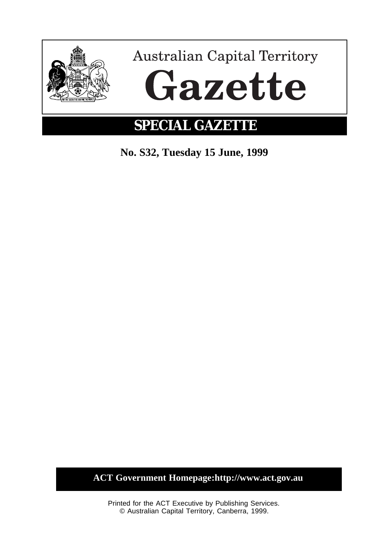

**No. S32, Tuesday 15 June, 1999**

**ACT Government Homepage:http://www.act.gov.au**

Printed for the ACT Executive by Publishing Services. © Australian Capital Territory, Canberra, 1999.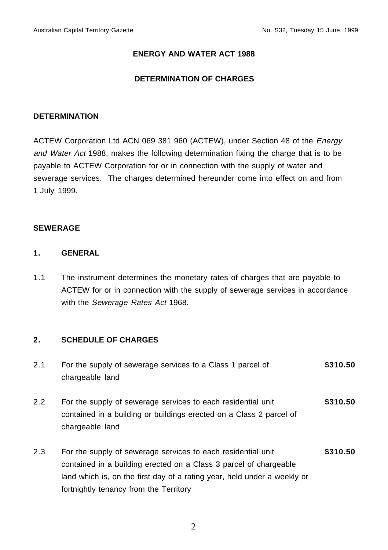# **ENERGY AND WATER ACT 1988**

# **DETERMINATION OF CHARGES**

#### **DETERMINATION**

ACTEW Corporation Ltd ACN 069 381 960 (ACTEW), under Section 48 of the Energy and Water Act 1988, makes the following determination fixing the charge that is to be payable to ACTEW Corporation for or in connection with the supply of water and sewerage services. The charges determined hereunder come into effect on and from 1 July 1999.

#### **SEWERAGE**

# **1. GENERAL**

1.1 The instrument determines the monetary rates of charges that are payable to ACTEW for or in connection with the supply of sewerage services in accordance with the Sewerage Rates Act 1968.

# **2. SCHEDULE OF CHARGES**

- 2.1 For the supply of sewerage services to a Class 1 parcel of chargeable land **\$310.50** 2.2 For the supply of sewerage services to each residential unit contained in a building or buildings erected on a Class 2 parcel of chargeable land **\$310.50** 2.3 For the supply of sewerage services to each residential unit contained in a building erected on a Class 3 parcel of chargeable **\$310.50**
	- land which is, on the first day of a rating year, held under a weekly or fortnightly tenancy from the Territory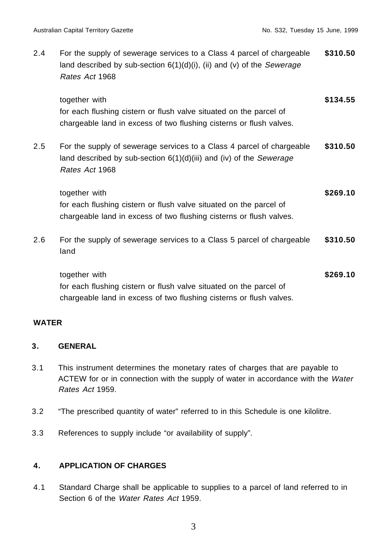2.4 For the supply of sewerage services to a Class 4 parcel of chargeable land described by sub-section  $6(1)(d)(i)$ , (ii) and (v) of the Sewerage Rates Act 1968 **\$310.50** together with **\$134.55** 

for each flushing cistern or flush valve situated on the parcel of chargeable land in excess of two flushing cisterns or flush valves.

2.5 For the supply of sewerage services to a Class 4 parcel of chargeable land described by sub-section  $6(1)(d)(iii)$  and (iv) of the Sewerage Rates Act 1968 **\$310.50**

| together with                                                       | \$269.10 |
|---------------------------------------------------------------------|----------|
| for each flushing cistern or flush valve situated on the parcel of  |          |
| chargeable land in excess of two flushing cisterns or flush valves. |          |

2.6 For the supply of sewerage services to a Class 5 parcel of chargeable land **\$310.50**

together with **\$269.10** for each flushing cistern or flush valve situated on the parcel of chargeable land in excess of two flushing cisterns or flush valves.

# **WATER**

# **3. GENERAL**

- 3.1 This instrument determines the monetary rates of charges that are payable to ACTEW for or in connection with the supply of water in accordance with the Water Rates Act 1959.
- 3.2 "The prescribed quantity of water" referred to in this Schedule is one kilolitre.
- 3.3 References to supply include "or availability of supply".

# **4. APPLICATION OF CHARGES**

4.1 Standard Charge shall be applicable to supplies to a parcel of land referred to in Section 6 of the Water Rates Act 1959.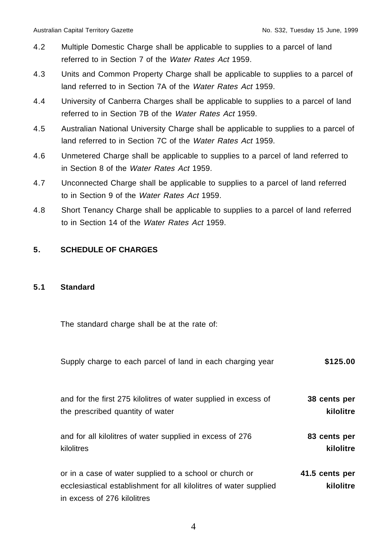- 4.2 Multiple Domestic Charge shall be applicable to supplies to a parcel of land referred to in Section 7 of the Water Rates Act 1959.
- 4.3 Units and Common Property Charge shall be applicable to supplies to a parcel of land referred to in Section 7A of the Water Rates Act 1959.
- 4.4 University of Canberra Charges shall be applicable to supplies to a parcel of land referred to in Section 7B of the Water Rates Act 1959.
- 4.5 Australian National University Charge shall be applicable to supplies to a parcel of land referred to in Section 7C of the Water Rates Act 1959.
- 4.6 Unmetered Charge shall be applicable to supplies to a parcel of land referred to in Section 8 of the Water Rates Act 1959.
- 4.7 Unconnected Charge shall be applicable to supplies to a parcel of land referred to in Section 9 of the Water Rates Act 1959.
- 4.8 Short Tenancy Charge shall be applicable to supplies to a parcel of land referred to in Section 14 of the Water Rates Act 1959.

# **5. SCHEDULE OF CHARGES**

#### **5.1 Standard**

The standard charge shall be at the rate of:

| Supply charge to each parcel of land in each charging year                                                                                                  | \$125.00                    |
|-------------------------------------------------------------------------------------------------------------------------------------------------------------|-----------------------------|
| and for the first 275 kilolitres of water supplied in excess of                                                                                             | 38 cents per                |
| the prescribed quantity of water                                                                                                                            | kilolitre                   |
| and for all kilolitres of water supplied in excess of 276                                                                                                   | 83 cents per                |
| kilolitres                                                                                                                                                  | kilolitre                   |
| or in a case of water supplied to a school or church or<br>ecclesiastical establishment for all kilolitres of water supplied<br>in excess of 276 kilolitres | 41.5 cents per<br>kilolitre |

4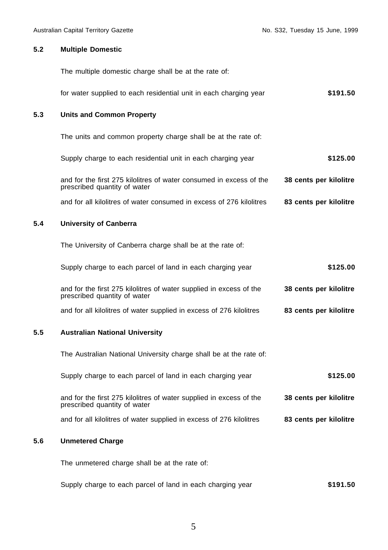#### **5.2 Multiple Domestic**

The multiple domestic charge shall be at the rate of:

for water supplied to each residential unit in each charging year **\$191.50**

#### **5.3 Units and Common Property**

The units and common property charge shall be at the rate of:

Supply charge to each residential unit in each charging year **\$125.00** and for the first 275 kilolitres of water consumed in excess of the prescribed quantity of water **38 cents per kilolitre**

and for all kilolitres of water consumed in excess of 276 kilolitres **83 cents per kilolitre**

#### **5.4 University of Canberra**

The University of Canberra charge shall be at the rate of:

|  |  | Supply charge to each parcel of land in each charging year | \$125.00 |
|--|--|------------------------------------------------------------|----------|
|--|--|------------------------------------------------------------|----------|

and for the first 275 kilolitres of water supplied in excess of the prescribed quantity of water **38 cents per kilolitre**

and for all kilolitres of water supplied in excess of 276 kilolitres **83 cents per kilolitre**

#### **5.5 Australian National University**

The Australian National University charge shall be at the rate of:

Supply charge to each parcel of land in each charging year **\$125.00**

and for the first 275 kilolitres of water supplied in excess of the prescribed quantity of water **38 cents per kilolitre**

and for all kilolitres of water supplied in excess of 276 kilolitres **83 cents per kilolitre**

#### **5.6 Unmetered Charge**

The unmetered charge shall be at the rate of:

Supply charge to each parcel of land in each charging year **\$191.50**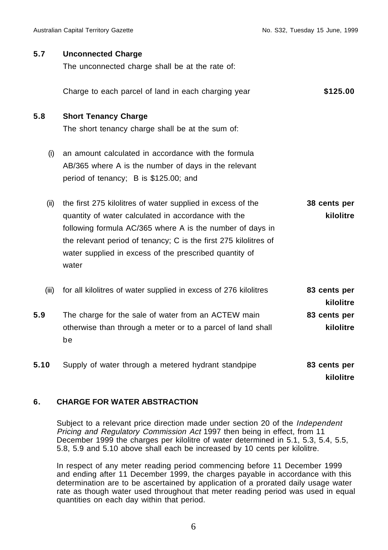| 5.7   | <b>Unconnected Charge</b><br>The unconnected charge shall be at the rate of: |                           |
|-------|------------------------------------------------------------------------------|---------------------------|
|       | Charge to each parcel of land in each charging year                          | \$125.00                  |
| 5.8   | <b>Short Tenancy Charge</b>                                                  |                           |
|       | The short tenancy charge shall be at the sum of:                             |                           |
| (i)   | an amount calculated in accordance with the formula                          |                           |
|       | AB/365 where A is the number of days in the relevant                         |                           |
|       | period of tenancy; B is \$125.00; and                                        |                           |
| (ii)  | the first 275 kilolitres of water supplied in excess of the                  | 38 cents per              |
|       | quantity of water calculated in accordance with the                          | kilolitre                 |
|       | following formula AC/365 where A is the number of days in                    |                           |
|       | the relevant period of tenancy; C is the first 275 kilolitres of             |                           |
|       | water supplied in excess of the prescribed quantity of<br>water              |                           |
|       |                                                                              |                           |
| (iii) | for all kilolitres of water supplied in excess of 276 kilolitres             | 83 cents per<br>kilolitre |
| 5.9   | The charge for the sale of water from an ACTEW main                          | 83 cents per              |
|       | otherwise than through a meter or to a parcel of land shall<br>be            | kilolitre                 |
| 5.10  | Supply of water through a metered hydrant standpipe                          | 83 cents per<br>kilolitre |

#### **6. CHARGE FOR WATER ABSTRACTION**

Subject to a relevant price direction made under section 20 of the Independent Pricing and Regulatory Commission Act 1997 then being in effect, from 11 December 1999 the charges per kilolitre of water determined in 5.1, 5.3, 5.4, 5.5, 5.8, 5.9 and 5.10 above shall each be increased by 10 cents per kilolitre.

In respect of any meter reading period commencing before 11 December 1999 and ending after 11 December 1999, the charges payable in accordance with this determination are to be ascertained by application of a prorated daily usage water rate as though water used throughout that meter reading period was used in equal quantities on each day within that period.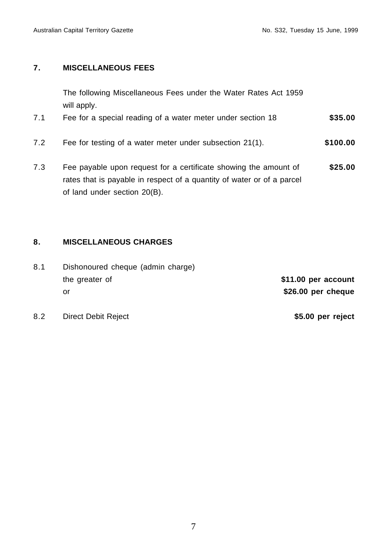# **7. MISCELLANEOUS FEES**

The following Miscellaneous Fees under the Water Rates Act 1959 will apply.

- 7.1 Fee for a special reading of a water meter under section 18 **\$35.00**
- 7.2 Fee for testing of a water meter under subsection 21(1). **\$100.00**
- 7.3 Fee payable upon request for a certificate showing the amount of rates that is payable in respect of a quantity of water or of a parcel of land under section 20(B). **\$25.00**

# **8. MISCELLANEOUS CHARGES**

8.1 Dishonoured cheque (admin charge) the greater of or

**\$11.00 per account \$26.00 per cheque**

8.2 Direct Debit Reject **\$5.00 per reject**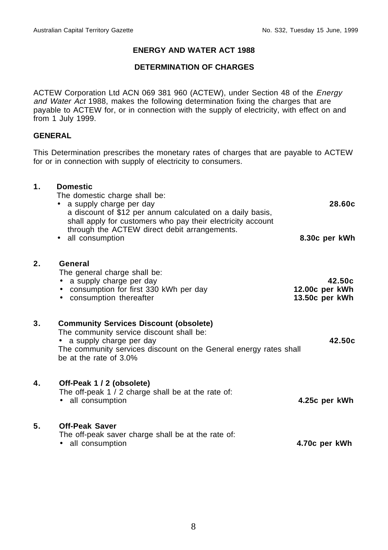# **ENERGY AND WATER ACT 1988**

### **DETERMINATION OF CHARGES**

ACTEW Corporation Ltd ACN 069 381 960 (ACTEW), under Section 48 of the Energy and Water Act 1988, makes the following determination fixing the charges that are payable to ACTEW for, or in connection with the supply of electricity, with effect on and from 1 July 1999.

#### **GENERAL**

This Determination prescribes the monetary rates of charges that are payable to ACTEW for or in connection with supply of electricity to consumers.

# **1. Domestic** The domestic charge shall be: • a supply charge per day a discount of \$12 per annum calculated on a daily basis, shall apply for customers who pay their electricity account through the ACTEW direct debit arrangements. **28.60c** • all consumption **8.30c per kWh 2. General** The general charge shall be: • a supply charge per day • consumption for first 330 kWh per day • consumption thereafter **42.50c 12.00c per kWh 13.50c per kWh 3. Community Services Discount (obsolete)**  The community service discount shall be: • a supply charge per day **42.50c** The community services discount on the General energy rates shall be at the rate of 3.0% **4. Off-Peak 1 / 2 (obsolete)**  The off-peak 1 / 2 charge shall be at the rate of: • all consumption **4.25c per kWh 5. Off-Peak Saver**  The off-peak saver charge shall be at the rate of: • all consumption **4.70c per kWh**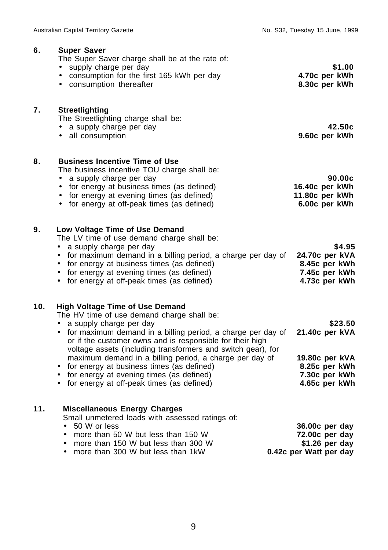| 6.  | <b>Super Saver</b><br>The Super Saver charge shall be at the rate of:<br>• supply charge per day<br>• consumption for the first 165 kWh per day<br>• consumption thereafter                                                                                                                                                                                                                                                                                                                                            | \$1.00<br>4.70c per kWh<br>8.30c per kWh                                                       |
|-----|------------------------------------------------------------------------------------------------------------------------------------------------------------------------------------------------------------------------------------------------------------------------------------------------------------------------------------------------------------------------------------------------------------------------------------------------------------------------------------------------------------------------|------------------------------------------------------------------------------------------------|
| 7.  | <b>Streetlighting</b><br>The Streetlighting charge shall be:<br>• a supply charge per day<br>• all consumption                                                                                                                                                                                                                                                                                                                                                                                                         | 42.50c<br>9.60c per kWh                                                                        |
| 8.  | <b>Business Incentive Time of Use</b><br>The business incentive TOU charge shall be:<br>a supply charge per day<br>$\bullet$<br>• for energy at business times (as defined)<br>• for energy at evening times (as defined)<br>• for energy at off-peak times (as defined)                                                                                                                                                                                                                                               | 90.00c<br>16.40c per kWh<br>11.80c per kWh<br>6.00c per kWh                                    |
| 9.  | Low Voltage Time of Use Demand<br>The LV time of use demand charge shall be:<br>• a supply charge per day<br>• for maximum demand in a billing period, a charge per day of<br>• for energy at business times (as defined)<br>• for energy at evening times (as defined)<br>• for energy at off-peak times (as defined)                                                                                                                                                                                                 | \$4.95<br>24.70c per kVA<br>8.45c per kWh<br>7.45c per kWh<br>4.73c per kWh                    |
| 10. | <b>High Voltage Time of Use Demand</b><br>The HV time of use demand charge shall be:<br>• a supply charge per day<br>• for maximum demand in a billing period, a charge per day of<br>or if the customer owns and is responsible for their high<br>voltage assets (including transformers and switch gear), for<br>maximum demand in a billing period, a charge per day of<br>• for energy at business times (as defined)<br>• for energy at evening times (as defined)<br>• for energy at off-peak times (as defined) | \$23.50<br>21.40c per kVA<br>19.80c per kVA<br>8.25c per kWh<br>7.30c per kWh<br>4.65c per kWh |
| 11. | <b>Miscellaneous Energy Charges</b><br>Small unmetered loads with assessed ratings of:<br>50 W or less<br>$\bullet$<br>more than 50 W but less than 150 W<br>$\bullet$<br>more than 150 W but less than 300 W<br>$\bullet$<br>more than 300 W but less than 1kW<br>$\bullet$                                                                                                                                                                                                                                           | 36.00c per day<br>72.00c per day<br>$$1.26$ per day<br>0.42c per Watt per day                  |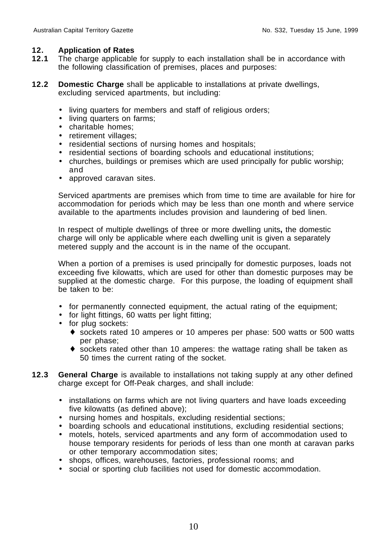# **12. Application of Rates**

- **12.1** The charge applicable for supply to each installation shall be in accordance with the following classification of premises, places and purposes:
- **12.2 Domestic Charge** shall be applicable to installations at private dwellings, excluding serviced apartments, but including:
	- living quarters for members and staff of religious orders;
	- living quarters on farms;
	- charitable homes;
	- retirement villages;
	- residential sections of nursing homes and hospitals;
	- residential sections of boarding schools and educational institutions;
	- churches, buildings or premises which are used principally for public worship; and
	- approved caravan sites.

Serviced apartments are premises which from time to time are available for hire for accommodation for periods which may be less than one month and where service available to the apartments includes provision and laundering of bed linen.

In respect of multiple dwellings of three or more dwelling units**,** the domestic charge will only be applicable where each dwelling unit is given a separately metered supply and the account is in the name of the occupant.

When a portion of a premises is used principally for domestic purposes, loads not exceeding five kilowatts, which are used for other than domestic purposes may be supplied at the domestic charge. For this purpose, the loading of equipment shall be taken to be:

- for permanently connected equipment, the actual rating of the equipment;
- for light fittings, 60 watts per light fitting;
- for plug sockets:
	- ♦ sockets rated 10 amperes or 10 amperes per phase: 500 watts or 500 watts per phase;
	- $\bullet$  sockets rated other than 10 amperes: the wattage rating shall be taken as 50 times the current rating of the socket.
- **12.3 General Charge** is available to installations not taking supply at any other defined charge except for Off-Peak charges, and shall include:
	- installations on farms which are not living quarters and have loads exceeding five kilowatts (as defined above);
	- nursing homes and hospitals, excluding residential sections;
	- boarding schools and educational institutions, excluding residential sections;
	- motels, hotels, serviced apartments and any form of accommodation used to house temporary residents for periods of less than one month at caravan parks or other temporary accommodation sites;
	- shops, offices, warehouses, factories, professional rooms; and
	- social or sporting club facilities not used for domestic accommodation.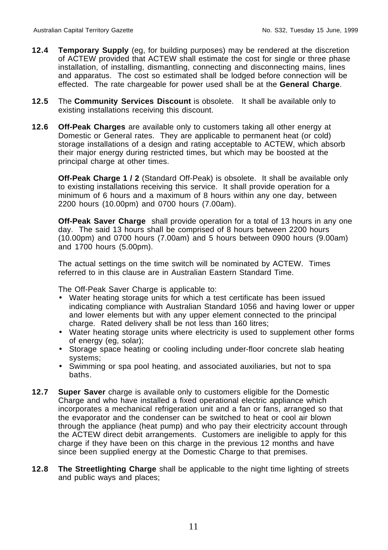- **12.4 Temporary Supply** (eg, for building purposes) may be rendered at the discretion of ACTEW provided that ACTEW shall estimate the cost for single or three phase installation, of installing, dismantling, connecting and disconnecting mains, lines and apparatus. The cost so estimated shall be lodged before connection will be effected. The rate chargeable for power used shall be at the **General Charge**.
- **12.5** The **Community Services Discount** is obsolete. It shall be available only to existing installations receiving this discount.
- **12.6 Off-Peak Charges** are available only to customers taking all other energy at Domestic or General rates. They are applicable to permanent heat (or cold) storage installations of a design and rating acceptable to ACTEW, which absorb their major energy during restricted times, but which may be boosted at the principal charge at other times.

**Off-Peak Charge 1 / 2** (Standard Off-Peak) is obsolete. It shall be available only to existing installations receiving this service. It shall provide operation for a minimum of 6 hours and a maximum of 8 hours within any one day, between 2200 hours (10.00pm) and 0700 hours (7.00am).

**Off-Peak Saver Charge** shall provide operation for a total of 13 hours in any one day. The said 13 hours shall be comprised of 8 hours between 2200 hours (10.00pm) and 0700 hours (7.00am) and 5 hours between 0900 hours (9.00am) and 1700 hours (5.00pm).

The actual settings on the time switch will be nominated by ACTEW. Times referred to in this clause are in Australian Eastern Standard Time.

The Off-Peak Saver Charge is applicable to:

- Water heating storage units for which a test certificate has been issued indicating compliance with Australian Standard 1056 and having lower or upper and lower elements but with any upper element connected to the principal charge. Rated delivery shall be not less than 160 litres;
- Water heating storage units where electricity is used to supplement other forms of energy (eg, solar);
- Storage space heating or cooling including under-floor concrete slab heating systems;
- Swimming or spa pool heating, and associated auxiliaries, but not to spa baths.
- **12.7 Super Saver** charge is available only to customers eligible for the Domestic Charge and who have installed a fixed operational electric appliance which incorporates a mechanical refrigeration unit and a fan or fans, arranged so that the evaporator and the condenser can be switched to heat or cool air blown through the appliance (heat pump) and who pay their electricity account through the ACTEW direct debit arrangements. Customers are ineligible to apply for this charge if they have been on this charge in the previous 12 months and have since been supplied energy at the Domestic Charge to that premises.
- **12.8 The Streetlighting Charge** shall be applicable to the night time lighting of streets and public ways and places;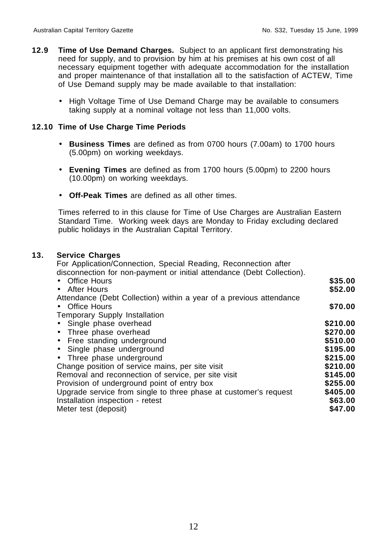- **12.9 Time of Use Demand Charges.** Subject to an applicant first demonstrating his need for supply, and to provision by him at his premises at his own cost of all necessary equipment together with adequate accommodation for the installation and proper maintenance of that installation all to the satisfaction of ACTEW, Time of Use Demand supply may be made available to that installation:
	- High Voltage Time of Use Demand Charge may be available to consumers taking supply at a nominal voltage not less than 11,000 volts.

#### **12.10 Time of Use Charge Time Periods**

- **Business Times** are defined as from 0700 hours (7.00am) to 1700 hours (5.00pm) on working weekdays.
- **Evening Times** are defined as from 1700 hours (5.00pm) to 2200 hours (10.00pm) on working weekdays.
- **Off-Peak Times** are defined as all other times.

Times referred to in this clause for Time of Use Charges are Australian Eastern Standard Time. Working week days are Monday to Friday excluding declared public holidays in the Australian Capital Territory.

#### **13. Service Charges**

For Application/Connection, Special Reading, Reconnection after

| disconnection for non-payment or initial attendance (Debt Collection). |          |
|------------------------------------------------------------------------|----------|
| • Office Hours                                                         | \$35.00  |
| • After Hours                                                          | \$52.00  |
| Attendance (Debt Collection) within a year of a previous attendance    |          |
| • Office Hours                                                         | \$70.00  |
| <b>Temporary Supply Installation</b>                                   |          |
| • Single phase overhead                                                | \$210.00 |
| • Three phase overhead                                                 | \$270.00 |
| • Free standing underground                                            | \$510.00 |
| • Single phase underground                                             | \$195.00 |
| • Three phase underground                                              | \$215.00 |
| Change position of service mains, per site visit                       | \$210.00 |
| Removal and reconnection of service, per site visit                    | \$145.00 |
| Provision of underground point of entry box                            | \$255.00 |
| Upgrade service from single to three phase at customer's request       | \$405.00 |
| Installation inspection - retest                                       | \$63.00  |
| Meter test (deposit)                                                   | \$47.00  |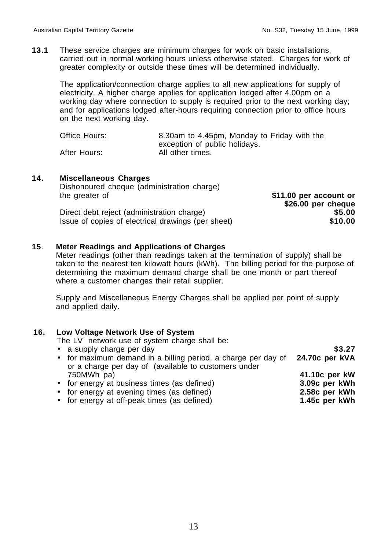**13.1** These service charges are minimum charges for work on basic installations, carried out in normal working hours unless otherwise stated. Charges for work of greater complexity or outside these times will be determined individually.

The application/connection charge applies to all new applications for supply of electricity. A higher charge applies for application lodged after 4.00pm on a working day where connection to supply is required prior to the next working day; and for applications lodged after-hours requiring connection prior to office hours on the next working day.

| Office Hours: | 8.30am to 4.45pm, Monday to Friday with the |
|---------------|---------------------------------------------|
|               | exception of public holidays.               |
| After Hours:  | All other times.                            |

#### **14. Miscellaneous Charges**

Dishonoured cheque (administration charge) the greater of **\$11.00 per account or** 

**\$26.00 per cheque** Direct debt reject (administration charge) **\$5.00** Issue of copies of electrical drawings (per sheet) **\$10.00**

**\$3.27**

# **15**. **Meter Readings and Applications of Charges**

Meter readings (other than readings taken at the termination of supply) shall be taken to the nearest ten kilowatt hours (kWh). The billing period for the purpose of determining the maximum demand charge shall be one month or part thereof where a customer changes their retail supplier.

Supply and Miscellaneous Energy Charges shall be applied per point of supply and applied daily.

#### **16. Low Voltage Network Use of System**

The LV network use of system charge shall be:

 $\bullet$  a supply charge per day

| $\sim$ a capply change por day                                | ----           |
|---------------------------------------------------------------|----------------|
| • for maximum demand in a billing period, a charge per day of | 24.70c per kVA |
| or a charge per day of (available to customers under          |                |
| 750MWh pa)                                                    | 41.10c per kW  |
| • for energy at business times (as defined)                   | 3.09c per kWh  |
| • for energy at evening times (as defined)                    | 2.58c per kWh  |
| • for energy at off-peak times (as defined)                   | 1.45c per kWh  |

13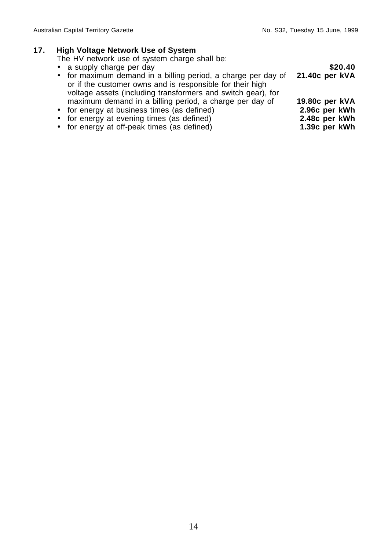**2.48c per kWh 1.39c per kWh**

# **17. High Voltage Network Use of System**

The HV network use of system charge shall be:

- a supply charge per day
- for maximum demand in a billing period, a charge per day of or if the customer owns and is responsible for their high voltage assets (including transformers and switch gear), for maximum demand in a billing period, a charge per day of • for energy at business times (as defined) **\$20.40 21.40c per kVA 19.80c per kVA 2.96c per kWh**
- 
- for energy at evening times (as defined)
- for energy at off-peak times (as defined)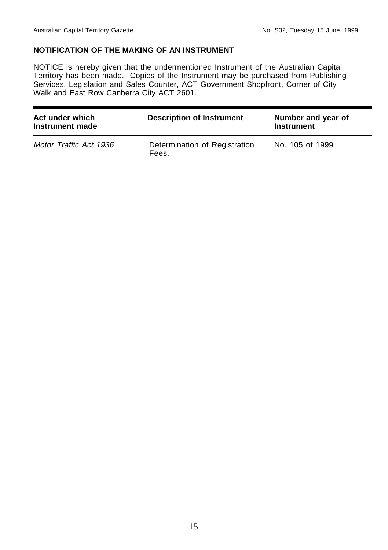# **NOTIFICATION OF THE MAKING OF AN INSTRUMENT**

NOTICE is hereby given that the undermentioned Instrument of the Australian Capital Territory has been made. Copies of the Instrument may be purchased from Publishing Services, Legislation and Sales Counter, ACT Government Shopfront, Corner of City Walk and East Row Canberra City ACT 2601.

| Act under which<br>Instrument made | <b>Description of Instrument</b>       | Number and year of<br><b>Instrument</b> |
|------------------------------------|----------------------------------------|-----------------------------------------|
| Motor Traffic Act 1936             | Determination of Registration<br>Fees. | No. 105 of 1999                         |